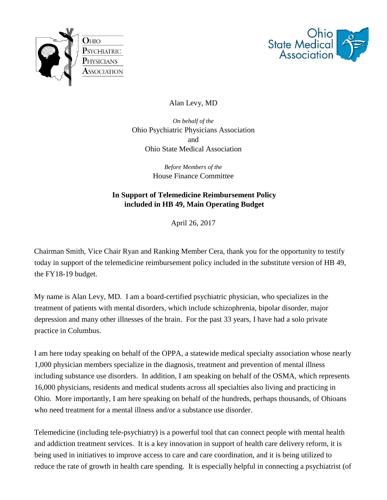



Alan Levy, MD

*On behalf of the*  Ohio Psychiatric Physicians Association and Ohio State Medical Association

> *Before Members of the*  House Finance Committee

## **In Support of Telemedicine Reimbursement Policy included in HB 49, Main Operating Budget**

April 26, 2017

Chairman Smith, Vice Chair Ryan and Ranking Member Cera, thank you for the opportunity to testify today in support of the telemedicine reimbursement policy included in the substitute version of HB 49, the FY18-19 budget.

My name is Alan Levy, MD. I am a board-certified psychiatric physician, who specializes in the treatment of patients with mental disorders, which include schizophrenia, bipolar disorder, major depression and many other illnesses of the brain. For the past 33 years, I have had a solo private practice in Columbus.

I am here today speaking on behalf of the OPPA, a statewide medical specialty association whose nearly 1,000 physician members specialize in the diagnosis, treatment and prevention of mental illness including substance use disorders. In addition, I am speaking on behalf of the OSMA, which represents 16,000 physicians, residents and medical students across all specialties also living and practicing in Ohio. More importantly, I am here speaking on behalf of the hundreds, perhaps thousands, of Ohioans who need treatment for a mental illness and/or a substance use disorder.

Telemedicine (including tele-psychiatry) is a powerful tool that can connect people with mental health and addiction treatment services. It is a key innovation in support of health care delivery reform, it is being used in initiatives to improve access to care and care coordination, and it is being utilized to reduce the rate of growth in health care spending. It is especially helpful in connecting a psychiatrist (of